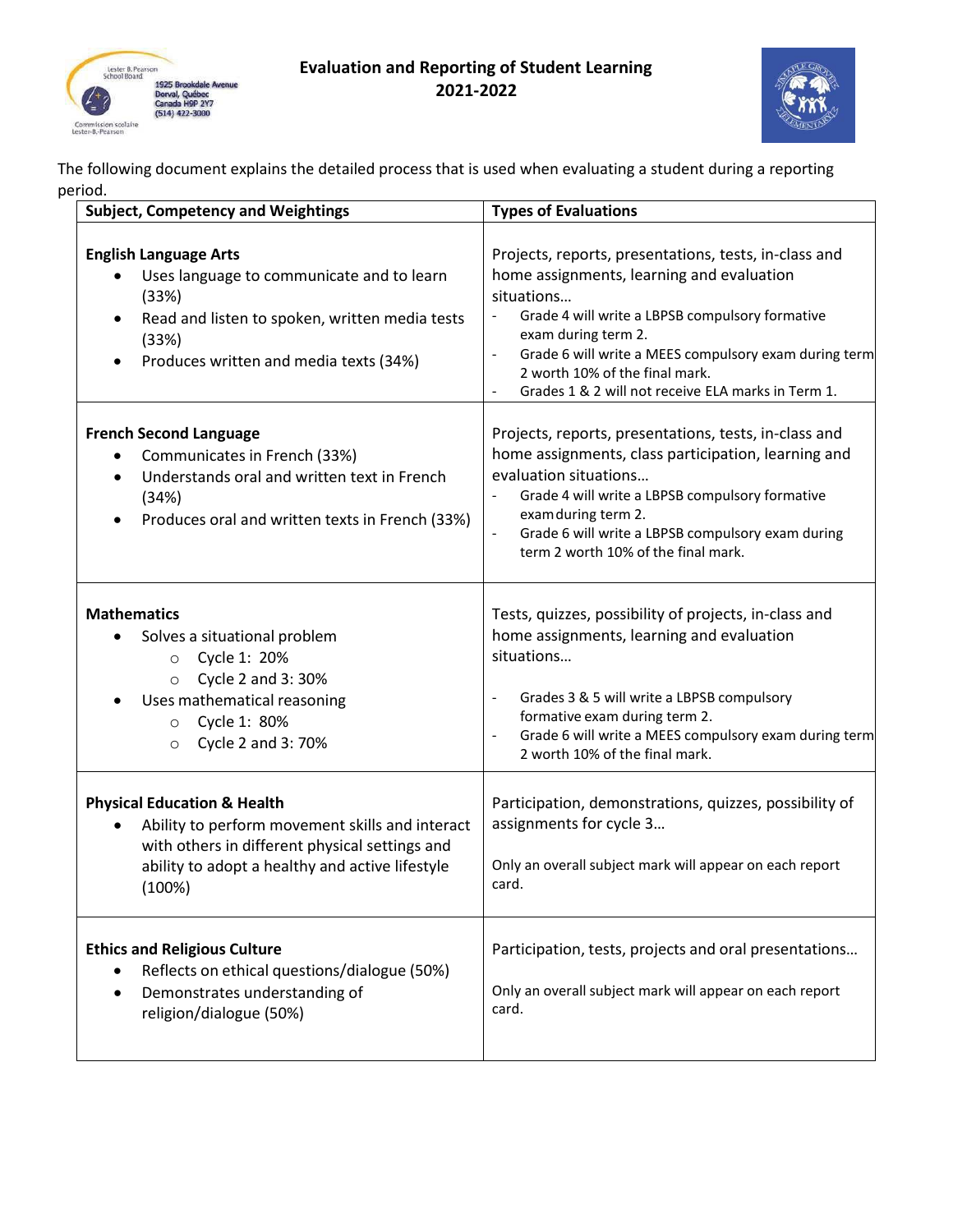

## **Evaluation and Reporting of Student Learning 2021-2022**



The following document explains the detailed process that is used when evaluating a student during a reporting period.

| <b>Subject, Competency and Weightings</b>                                                                                                                                                                                      | <b>Types of Evaluations</b>                                                                                                                                                                                                                                                                                                                                                                   |
|--------------------------------------------------------------------------------------------------------------------------------------------------------------------------------------------------------------------------------|-----------------------------------------------------------------------------------------------------------------------------------------------------------------------------------------------------------------------------------------------------------------------------------------------------------------------------------------------------------------------------------------------|
| <b>English Language Arts</b><br>Uses language to communicate and to learn<br>$\bullet$<br>(33%)<br>Read and listen to spoken, written media tests<br>$\bullet$<br>(33%)<br>Produces written and media texts (34%)<br>$\bullet$ | Projects, reports, presentations, tests, in-class and<br>home assignments, learning and evaluation<br>situations<br>Grade 4 will write a LBPSB compulsory formative<br>exam during term 2.<br>Grade 6 will write a MEES compulsory exam during term<br>$\qquad \qquad \blacksquare$<br>2 worth 10% of the final mark.<br>Grades 1 & 2 will not receive ELA marks in Term 1.<br>$\overline{a}$ |
| <b>French Second Language</b><br>Communicates in French (33%)<br>٠<br>Understands oral and written text in French<br>$\bullet$<br>(34%)<br>Produces oral and written texts in French (33%)<br>٠                                | Projects, reports, presentations, tests, in-class and<br>home assignments, class participation, learning and<br>evaluation situations<br>Grade 4 will write a LBPSB compulsory formative<br>exam during term 2.<br>Grade 6 will write a LBPSB compulsory exam during<br>term 2 worth 10% of the final mark.                                                                                   |
| <b>Mathematics</b><br>Solves a situational problem<br>Cycle 1: 20%<br>$\circ$<br>Cycle 2 and 3:30%<br>$\circ$<br>Uses mathematical reasoning<br>Cycle 1: 80%<br>$\circ$<br>Cycle 2 and 3: 70%<br>$\circ$                       | Tests, quizzes, possibility of projects, in-class and<br>home assignments, learning and evaluation<br>situations<br>Grades 3 & 5 will write a LBPSB compulsory<br>$\overline{\phantom{0}}$<br>formative exam during term 2.<br>Grade 6 will write a MEES compulsory exam during term<br>$\overline{\phantom{0}}$<br>2 worth 10% of the final mark.                                            |
| <b>Physical Education &amp; Health</b><br>Ability to perform movement skills and interact<br>٠<br>with others in different physical settings and<br>ability to adopt a healthy and active lifestyle<br>(100%)                  | Participation, demonstrations, quizzes, possibility of<br>assignments for cycle 3<br>Only an overall subject mark will appear on each report<br>card.                                                                                                                                                                                                                                         |
| <b>Ethics and Religious Culture</b><br>Reflects on ethical questions/dialogue (50%)<br>٠<br>Demonstrates understanding of<br>$\bullet$<br>religion/dialogue (50%)                                                              | Participation, tests, projects and oral presentations<br>Only an overall subject mark will appear on each report<br>card.                                                                                                                                                                                                                                                                     |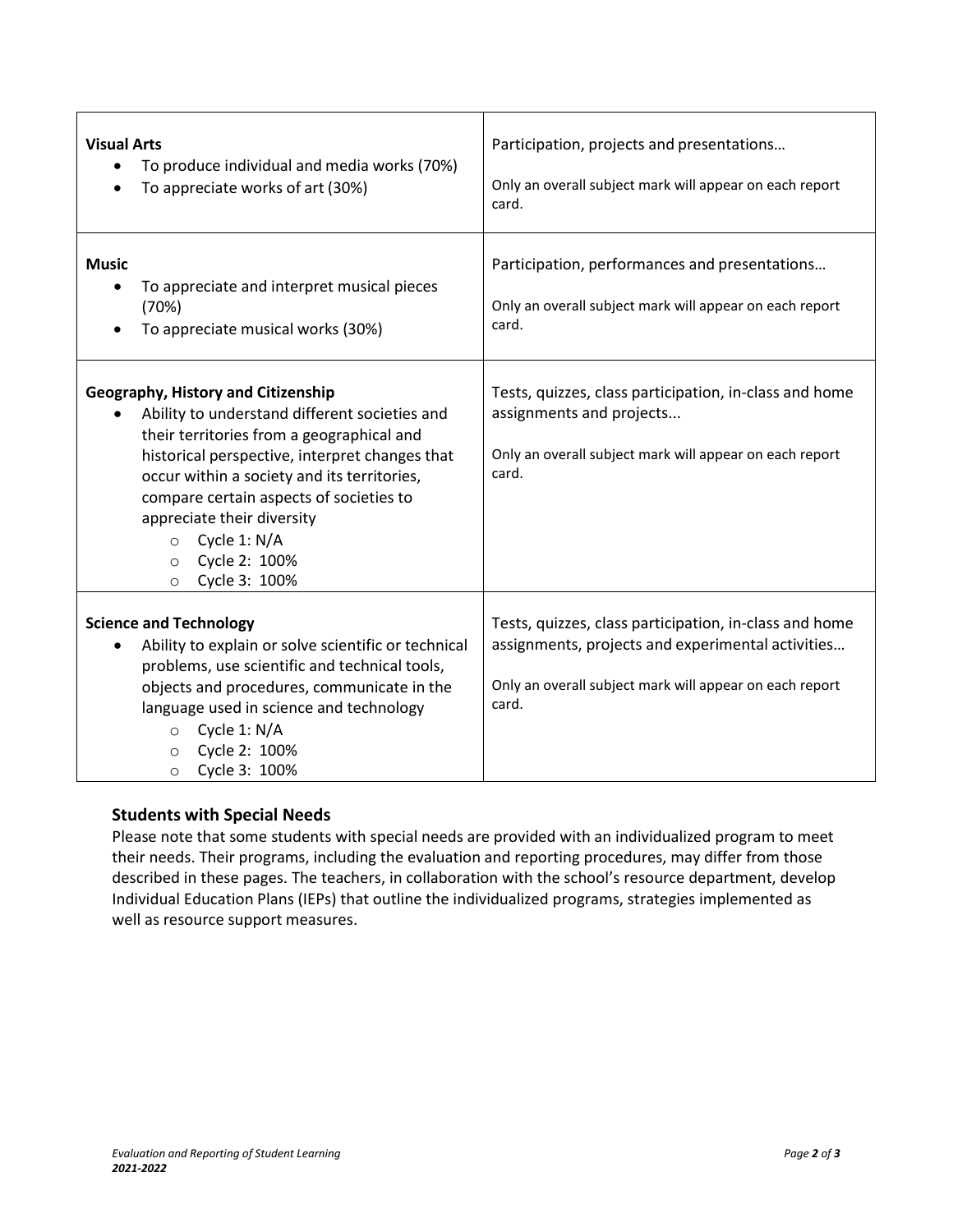| <b>Visual Arts</b><br>To produce individual and media works (70%)<br>To appreciate works of art (30%)                                                                                                                                                                                                                                                                                          | Participation, projects and presentations<br>Only an overall subject mark will appear on each report<br>card.                                                                   |
|------------------------------------------------------------------------------------------------------------------------------------------------------------------------------------------------------------------------------------------------------------------------------------------------------------------------------------------------------------------------------------------------|---------------------------------------------------------------------------------------------------------------------------------------------------------------------------------|
| <b>Music</b><br>To appreciate and interpret musical pieces<br>(70%)<br>To appreciate musical works (30%)                                                                                                                                                                                                                                                                                       | Participation, performances and presentations<br>Only an overall subject mark will appear on each report<br>card.                                                               |
| <b>Geography, History and Citizenship</b><br>Ability to understand different societies and<br>their territories from a geographical and<br>historical perspective, interpret changes that<br>occur within a society and its territories,<br>compare certain aspects of societies to<br>appreciate their diversity<br>Cycle 1: N/A<br>$\circ$<br>Cycle 2: 100%<br>$\circ$<br>Cycle 3: 100%<br>O | Tests, quizzes, class participation, in-class and home<br>assignments and projects<br>Only an overall subject mark will appear on each report<br>card.                          |
| <b>Science and Technology</b><br>Ability to explain or solve scientific or technical<br>problems, use scientific and technical tools,<br>objects and procedures, communicate in the<br>language used in science and technology<br>Cycle 1: N/A<br>$\circ$<br>Cycle 2: 100%<br>$\circ$<br>Cycle 3: 100%<br>$\circ$                                                                              | Tests, quizzes, class participation, in-class and home<br>assignments, projects and experimental activities<br>Only an overall subject mark will appear on each report<br>card. |

## **Students with Special Needs**

Please note that some students with special needs are provided with an individualized program to meet their needs. Their programs, including the evaluation and reporting procedures, may differ from those described in these pages. The teachers, in collaboration with the school's resource department, develop Individual Education Plans (IEPs) that outline the individualized programs, strategies implemented as well as resource support measures.